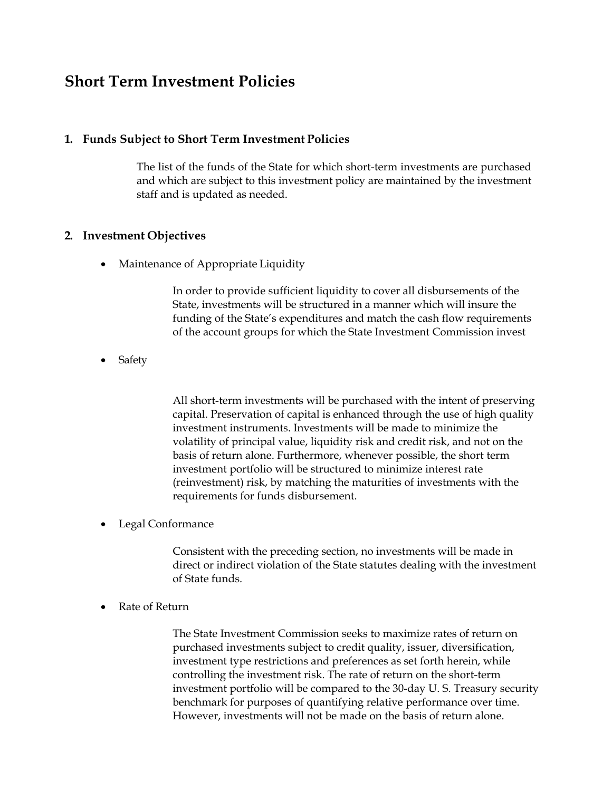# **Short Term Investment Policies**

### **1. Funds Subject to Short Term Investment Policies**

The list of the funds of the State for which short-term investments are purchased and which are subject to this investment policy are maintained by the investment staff and is updated as needed.

#### **2. Investment Objectives**

• Maintenance of Appropriate Liquidity

In order to provide sufficient liquidity to cover all disbursements of the State, investments will be structured in a manner which will insure the funding of the State's expenditures and match the cash flow requirements of the account groups for which the State Investment Commission invest

Safety

All short-term investments will be purchased with the intent of preserving capital. Preservation of capital is enhanced through the use of high quality investment instruments. Investments will be made to minimize the volatility of principal value, liquidity risk and credit risk, and not on the basis of return alone. Furthermore, whenever possible, the short term investment portfolio will be structured to minimize interest rate (reinvestment) risk, by matching the maturities of investments with the requirements for funds disbursement.

• Legal Conformance

Consistent with the preceding section, no investments will be made in direct or indirect violation of the State statutes dealing with the investment of State funds.

Rate of Return

The State Investment Commission seeks to maximize rates of return on purchased investments subject to credit quality, issuer, diversification, investment type restrictions and preferences as set forth herein, while controlling the investment risk. The rate of return on the short-term investment portfolio will be compared to the 30-day U. S. Treasury security benchmark for purposes of quantifying relative performance over time. However, investments will not be made on the basis of return alone.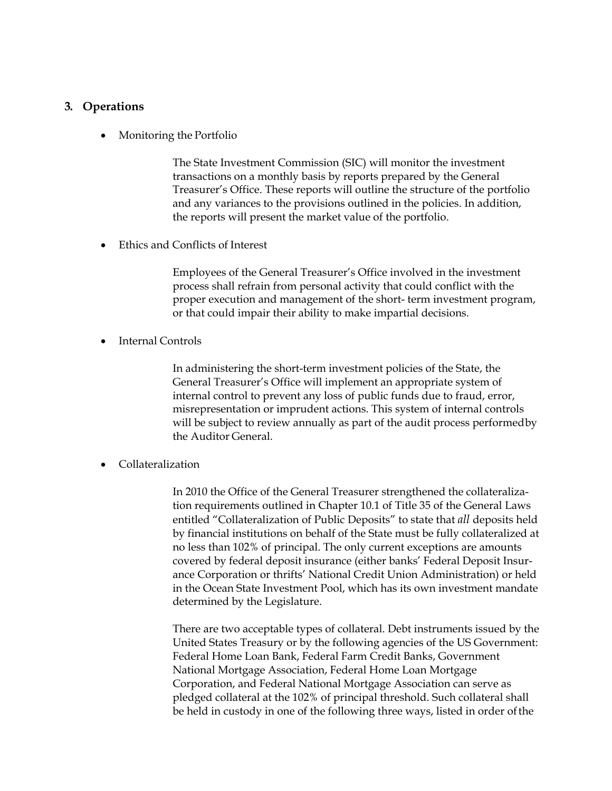## **3. Operations**

Monitoring the Portfolio

The State Investment Commission (SIC) will monitor the investment transactions on a monthly basis by reports prepared by the General Treasurer's Office. These reports will outline the structure of the portfolio and any variances to the provisions outlined in the policies. In addition, the reports will present the market value of the portfolio.

Ethics and Conflicts of Interest

Employees of the General Treasurer's Office involved in the investment process shall refrain from personal activity that could conflict with the proper execution and management of the short- term investment program, or that could impair their ability to make impartial decisions.

Internal Controls

In administering the short-term investment policies of the State, the General Treasurer's Office will implement an appropriate system of internal control to prevent any loss of public funds due to fraud, error, misrepresentation or imprudent actions. This system of internal controls will be subject to review annually as part of the audit process performed by the Auditor General.

Collateralization

In 2010 the Office of the General Treasurer strengthened the collateralization requirements outlined in Chapter 10.1 of Title 35 of the General Laws entitled "Collateralization of Public Deposits" to state that *all* deposits held by financial institutions on behalf of the State must be fully collateralized at no less than 102% of principal. The only current exceptions are amounts covered by federal deposit insurance (either banks' Federal Deposit Insurance Corporation or thrifts' National Credit Union Administration) or held in the Ocean State Investment Pool, which has its own investment mandate determined by the Legislature.

There are two acceptable types of collateral. Debt instruments issued by the United States Treasury or by the following agencies of the US Government: Federal Home Loan Bank, Federal Farm Credit Banks, Government National Mortgage Association, Federal Home Loan Mortgage Corporation, and Federal National Mortgage Association can serve as pledged collateral at the 102% of principal threshold. Such collateral shall be held in custody in one of the following three ways, listed in order of the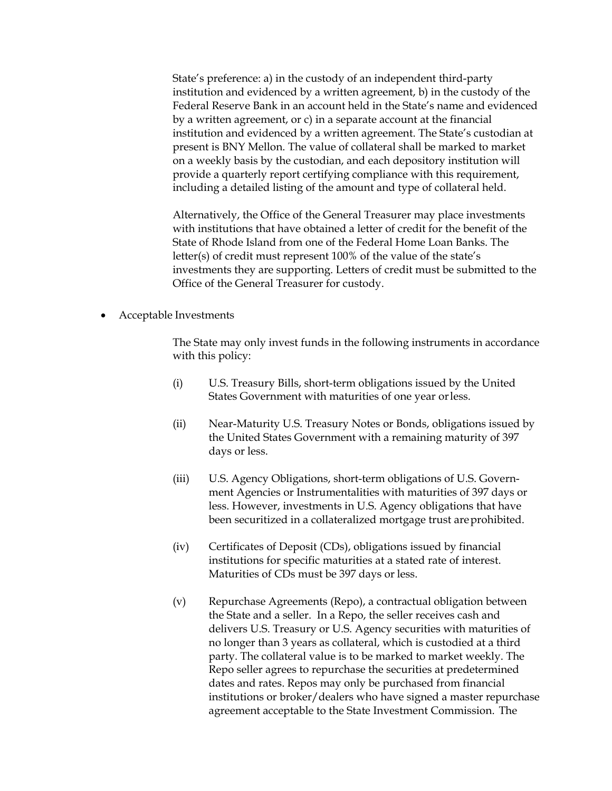State's preference: a) in the custody of an independent third-party institution and evidenced by a written agreement, b) in the custody of the Federal Reserve Bank in an account held in the State's name and evidenced by a written agreement, or c) in a separate account at the financial institution and evidenced by a written agreement. The State's custodian at present is BNY Mellon. The value of collateral shall be marked to market on a weekly basis by the custodian, and each depository institution will provide a quarterly report certifying compliance with this requirement, including a detailed listing of the amount and type of collateral held.

Alternatively, the Office of the General Treasurer may place investments with institutions that have obtained a letter of credit for the benefit of the State of Rhode Island from one of the Federal Home Loan Banks. The letter(s) of credit must represent 100% of the value of the state's investments they are supporting. Letters of credit must be submitted to the Office of the General Treasurer for custody.

Acceptable Investments

The State may only invest funds in the following instruments in accordance with this policy:

- (i) U.S. Treasury Bills, short-term obligations issued by the United States Government with maturities of one year or less.
- (ii) Near-Maturity U.S. Treasury Notes or Bonds, obligations issued by the United States Government with a remaining maturity of 397 days or less.
- (iii) U.S. Agency Obligations, short-term obligations of U.S. Government Agencies or Instrumentalities with maturities of 397 days or less. However, investments in U.S. Agency obligations that have been securitized in a collateralized mortgage trust are prohibited.
- (iv) Certificates of Deposit (CDs), obligations issued by financial institutions for specific maturities at a stated rate of interest. Maturities of CDs must be 397 days or less.
- (v) Repurchase Agreements (Repo), a contractual obligation between the State and a seller. In a Repo, the seller receives cash and delivers U.S. Treasury or U.S. Agency securities with maturities of no longer than 3 years as collateral, which is custodied at a third party. The collateral value is to be marked to market weekly. The Repo seller agrees to repurchase the securities at predetermined dates and rates. Repos may only be purchased from financial institutions or broker/dealers who have signed a master repurchase agreement acceptable to the State Investment Commission. The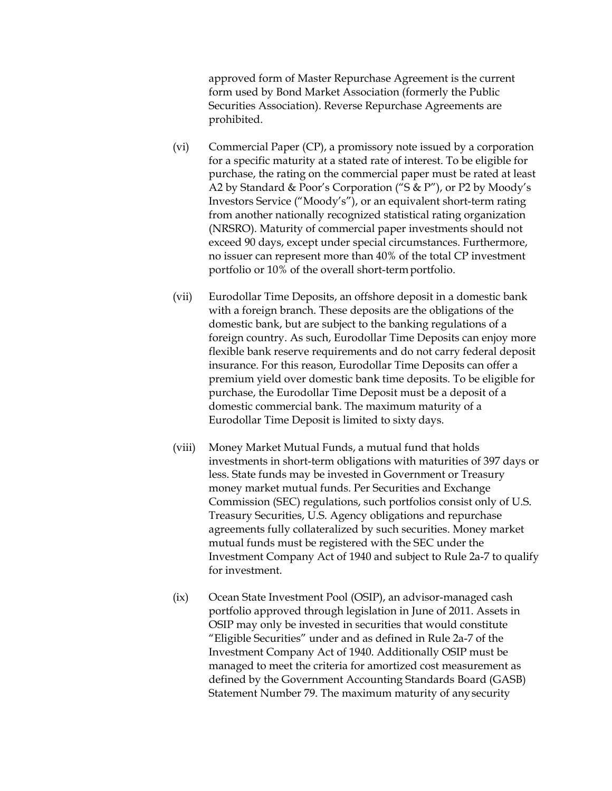approved form of Master Repurchase Agreement is the current form used by Bond Market Association (formerly the Public Securities Association). Reverse Repurchase Agreements are prohibited.

- (vi) Commercial Paper (CP), a promissory note issued by a corporation for a specific maturity at a stated rate of interest. To be eligible for purchase, the rating on the commercial paper must be rated at least A2 by Standard & Poor's Corporation ("S & P"), or P2 by Moody's Investors Service ("Moody's"), or an equivalent short-term rating from another nationally recognized statistical rating organization (NRSRO). Maturity of commercial paper investments should not exceed 90 days, except under special circumstances. Furthermore, no issuer can represent more than 40% of the total CP investment portfolio or 10% of the overall short-term portfolio.
- (vii) Eurodollar Time Deposits, an offshore deposit in a domestic bank with a foreign branch. These deposits are the obligations of the domestic bank, but are subject to the banking regulations of a foreign country. As such, Eurodollar Time Deposits can enjoy more flexible bank reserve requirements and do not carry federal deposit insurance. For this reason, Eurodollar Time Deposits can offer a premium yield over domestic bank time deposits. To be eligible for purchase, the Eurodollar Time Deposit must be a deposit of a domestic commercial bank. The maximum maturity of a Eurodollar Time Deposit is limited to sixty days.
- (viii) Money Market Mutual Funds, a mutual fund that holds investments in short-term obligations with maturities of 397 days or less. State funds may be invested in Government or Treasury money market mutual funds. Per Securities and Exchange Commission (SEC) regulations, such portfolios consist only of U.S. Treasury Securities, U.S. Agency obligations and repurchase agreements fully collateralized by such securities. Money market mutual funds must be registered with the SEC under the Investment Company Act of 1940 and subject to Rule 2a-7 to qualify for investment.
- (ix) Ocean State Investment Pool (OSIP), an advisor-managed cash portfolio approved through legislation in June of 2011. Assets in OSIP may only be invested in securities that would constitute "Eligible Securities" under and as defined in Rule 2a-7 of the Investment Company Act of 1940. Additionally OSIP must be managed to meet the criteria for amortized cost measurement as defined by the Government Accounting Standards Board (GASB) Statement Number 79. The maximum maturity of any security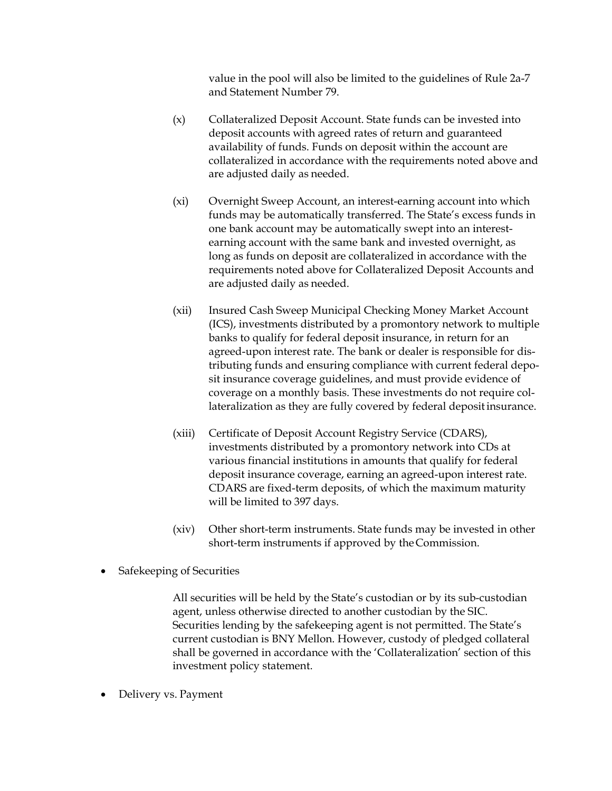value in the pool will also be limited to the guidelines of Rule 2a-7 and Statement Number 79.

- (x) Collateralized Deposit Account. State funds can be invested into deposit accounts with agreed rates of return and guaranteed availability of funds. Funds on deposit within the account are collateralized in accordance with the requirements noted above and are adjusted daily as needed.
- (xi) Overnight Sweep Account, an interest-earning account into which funds may be automatically transferred. The State's excess funds in one bank account may be automatically swept into an interestearning account with the same bank and invested overnight, as long as funds on deposit are collateralized in accordance with the requirements noted above for Collateralized Deposit Accounts and are adjusted daily as needed.
- (xii) Insured Cash Sweep Municipal Checking Money Market Account (ICS), investments distributed by a promontory network to multiple banks to qualify for federal deposit insurance, in return for an agreed-upon interest rate. The bank or dealer is responsible for distributing funds and ensuring compliance with current federal deposit insurance coverage guidelines, and must provide evidence of coverage on a monthly basis. These investments do not require collateralization as they are fully covered by federal deposit insurance.
- (xiii) Certificate of Deposit Account Registry Service (CDARS), investments distributed by a promontory network into CDs at various financial institutions in amounts that qualify for federal deposit insurance coverage, earning an agreed-upon interest rate. CDARS are fixed-term deposits, of which the maximum maturity will be limited to 397 days.
- (xiv) Other short-term instruments. State funds may be invested in other short-term instruments if approved by the Commission.
- Safekeeping of Securities

All securities will be held by the State's custodian or by its sub-custodian agent, unless otherwise directed to another custodian by the SIC. Securities lending by the safekeeping agent is not permitted. The State's current custodian is BNY Mellon. However, custody of pledged collateral shall be governed in accordance with the 'Collateralization' section of this investment policy statement.

Delivery vs. Payment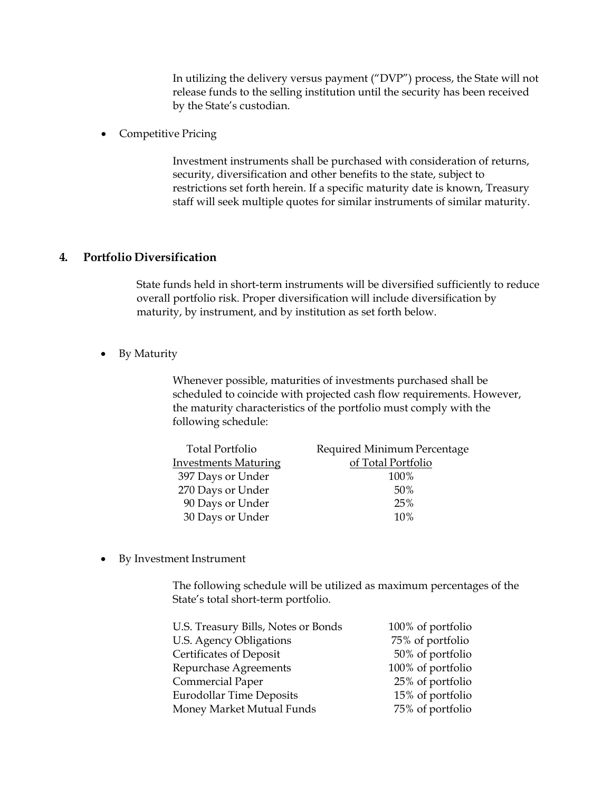In utilizing the delivery versus payment ("DVP") process, the State will not release funds to the selling institution until the security has been received by the State's custodian.

Competitive Pricing

Investment instruments shall be purchased with consideration of returns, security, diversification and other benefits to the state, subject to restrictions set forth herein. If a specific maturity date is known, Treasury staff will seek multiple quotes for similar instruments of similar maturity.

#### **4. Portfolio Diversification**

State funds held in short-term instruments will be diversified sufficiently to reduce overall portfolio risk. Proper diversification will include diversification by maturity, by instrument, and by institution as set forth below.

• By Maturity

Whenever possible, maturities of investments purchased shall be scheduled to coincide with projected cash flow requirements. However, the maturity characteristics of the portfolio must comply with the following schedule:

| <b>Total Portfolio</b>      | Required Minimum Percentage |
|-----------------------------|-----------------------------|
| <b>Investments Maturing</b> | of Total Portfolio          |
| 397 Days or Under           | 100%                        |
| 270 Days or Under           | 50%                         |
| 90 Days or Under            | 25%                         |
| 30 Days or Under            | 10%                         |

By Investment Instrument

The following schedule will be utilized as maximum percentages of the State's total short-term portfolio.

| 100% of portfolio |
|-------------------|
| 75% of portfolio  |
| 50% of portfolio  |
| 100% of portfolio |
| 25% of portfolio  |
| 15% of portfolio  |
| 75% of portfolio  |
|                   |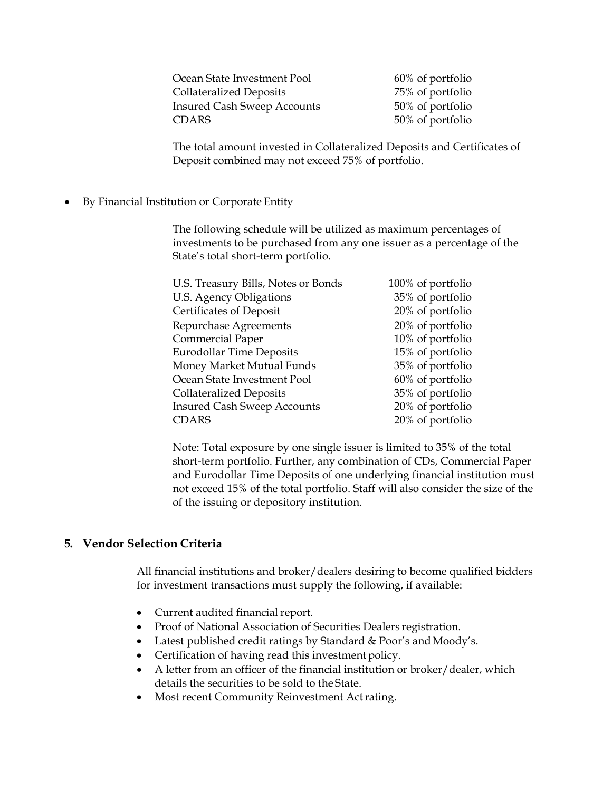| Ocean State Investment Pool        |
|------------------------------------|
| <b>Collateralized Deposits</b>     |
| <b>Insured Cash Sweep Accounts</b> |
| <b>CDARS</b>                       |

 $60\%$  of portfolio 75% of portfolio 50% of portfolio 50% of portfolio

The total amount invested in Collateralized Deposits and Certificates of Deposit combined may not exceed 75% of portfolio.

By Financial Institution or Corporate Entity

The following schedule will be utilized as maximum percentages of investments to be purchased from any one issuer as a percentage of the State's total short-term portfolio.

| U.S. Treasury Bills, Notes or Bonds | 100% of portfolio |
|-------------------------------------|-------------------|
| U.S. Agency Obligations             | 35% of portfolio  |
| Certificates of Deposit             | 20% of portfolio  |
| Repurchase Agreements               | 20% of portfolio  |
| <b>Commercial Paper</b>             | 10% of portfolio  |
| <b>Eurodollar Time Deposits</b>     | 15% of portfolio  |
| Money Market Mutual Funds           | 35% of portfolio  |
| Ocean State Investment Pool         | 60% of portfolio  |
| <b>Collateralized Deposits</b>      | 35% of portfolio  |
| <b>Insured Cash Sweep Accounts</b>  | 20% of portfolio  |
| <b>CDARS</b>                        | 20% of portfolio  |

Note: Total exposure by one single issuer is limited to 35% of the total short-term portfolio. Further, any combination of CDs, Commercial Paper and Eurodollar Time Deposits of one underlying financial institution must not exceed 15% of the total portfolio. Staff will also consider the size of the of the issuing or depository institution.

## **5. Vendor Selection Criteria**

All financial institutions and broker/dealers desiring to become qualified bidders for investment transactions must supply the following, if available:

- Current audited financial report.
- Proof of National Association of Securities Dealers registration.
- Latest published credit ratings by Standard & Poor's and Moody's.
- Certification of having read this investment policy.
- A letter from an officer of the financial institution or broker/dealer, which details the securities to be sold to the State.
- Most recent Community Reinvestment Act rating.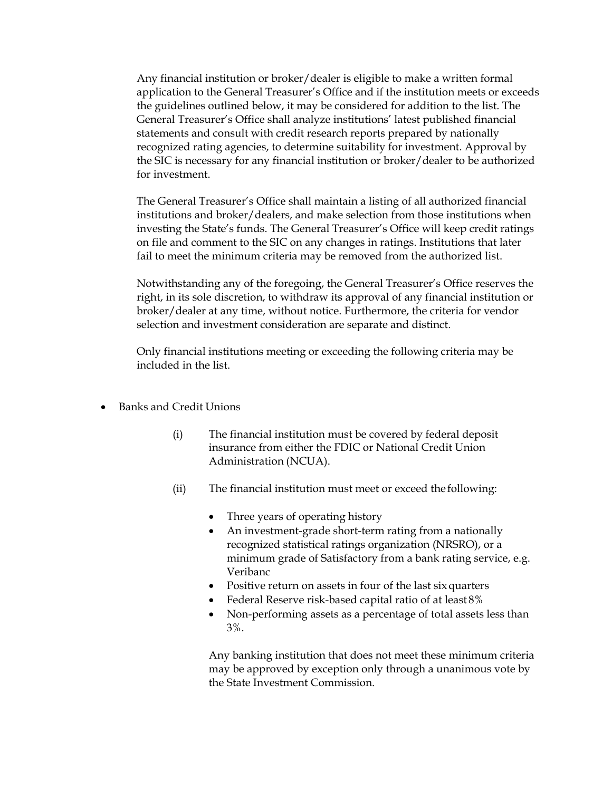Any financial institution or broker/dealer is eligible to make a written formal application to the General Treasurer's Office and if the institution meets or exceeds the guidelines outlined below, it may be considered for addition to the list. The General Treasurer's Office shall analyze institutions' latest published financial statements and consult with credit research reports prepared by nationally recognized rating agencies, to determine suitability for investment. Approval by the SIC is necessary for any financial institution or broker/dealer to be authorized for investment.

The General Treasurer's Office shall maintain a listing of all authorized financial institutions and broker/dealers, and make selection from those institutions when investing the State's funds. The General Treasurer's Office will keep credit ratings on file and comment to the SIC on any changes in ratings. Institutions that later fail to meet the minimum criteria may be removed from the authorized list.

Notwithstanding any of the foregoing, the General Treasurer's Office reserves the right, in its sole discretion, to withdraw its approval of any financial institution or broker/dealer at any time, without notice. Furthermore, the criteria for vendor selection and investment consideration are separate and distinct.

Only financial institutions meeting or exceeding the following criteria may be included in the list.

- Banks and Credit Unions
	- (i) The financial institution must be covered by federal deposit insurance from either the FDIC or National Credit Union Administration (NCUA).
	- (ii) The financial institution must meet or exceed the following:
		- Three years of operating history
		- An investment-grade short-term rating from a nationally recognized statistical ratings organization (NRSRO), or a minimum grade of Satisfactory from a bank rating service, e.g. Veribanc
		- Positive return on assets in four of the last six quarters
		- Federal Reserve risk-based capital ratio of at least 8%
		- Non-performing assets as a percentage of total assets less than 3%.

Any banking institution that does not meet these minimum criteria may be approved by exception only through a unanimous vote by the State Investment Commission.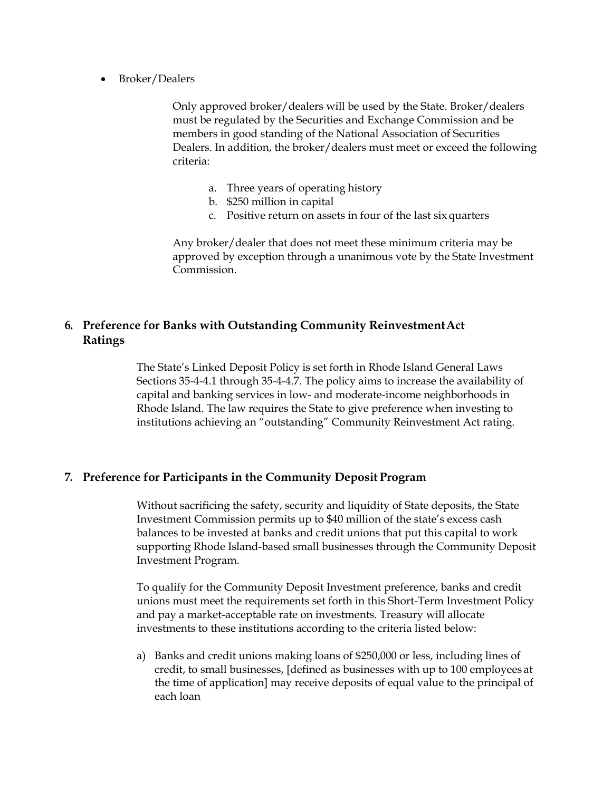• Broker/Dealers

Only approved broker/dealers will be used by the State. Broker/dealers must be regulated by the Securities and Exchange Commission and be members in good standing of the National Association of Securities Dealers. In addition, the broker/dealers must meet or exceed the following criteria:

- a. Three years of operating history
- b. \$250 million in capital
- c. Positive return on assets in four of the last six quarters

Any broker/dealer that does not meet these minimum criteria may be approved by exception through a unanimous vote by the State Investment Commission.

## **6. Preference for Banks with Outstanding Community Reinvestment Act Ratings**

The State's Linked Deposit Policy is set forth in Rhode Island General Laws Sections 35-4-4.1 through 35-4-4.7. The policy aims to increase the availability of capital and banking services in low- and moderate-income neighborhoods in Rhode Island. The law requires the State to give preference when investing to institutions achieving an "outstanding" Community Reinvestment Act rating.

#### **7. Preference for Participants in the Community Deposit Program**

Without sacrificing the safety, security and liquidity of State deposits, the State Investment Commission permits up to \$40 million of the state's excess cash balances to be invested at banks and credit unions that put this capital to work supporting Rhode Island-based small businesses through the Community Deposit Investment Program.

To qualify for the Community Deposit Investment preference, banks and credit unions must meet the requirements set forth in this Short-Term Investment Policy and pay a market-acceptable rate on investments. Treasury will allocate investments to these institutions according to the criteria listed below:

a) Banks and credit unions making loans of \$250,000 or less, including lines of credit, to small businesses, [defined as businesses with up to 100 employees at the time of application] may receive deposits of equal value to the principal of each loan